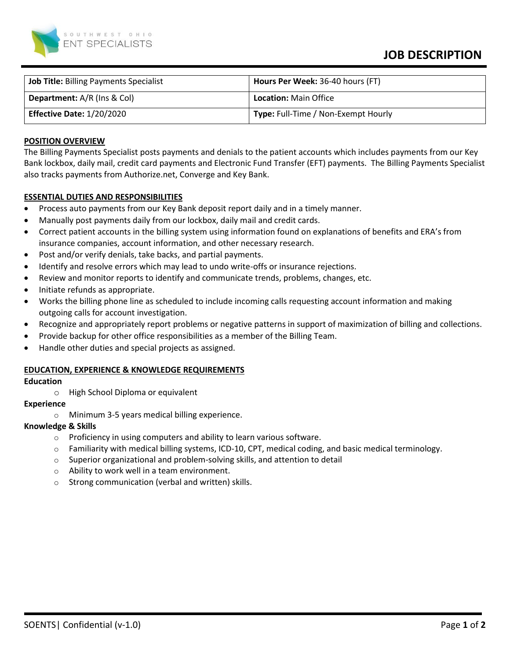

# **JOB DESCRIPTION**

| <b>Job Title: Billing Payments Specialist</b> | Hours Per Week: 36-40 hours (FT)    |
|-----------------------------------------------|-------------------------------------|
| <b>Department:</b> A/R (Ins & Col)            | <b>Location: Main Office</b>        |
| <b>Effective Date: 1/20/2020</b>              | Type: Full-Time / Non-Exempt Hourly |

# **POSITION OVERVIEW**

The Billing Payments Specialist posts payments and denials to the patient accounts which includes payments from our Key Bank lockbox, daily mail, credit card payments and Electronic Fund Transfer (EFT) payments. The Billing Payments Specialist also tracks payments from Authorize.net, Converge and Key Bank.

# **ESSENTIAL DUTIES AND RESPONSIBILITIES**

- Process auto payments from our Key Bank deposit report daily and in a timely manner.
- Manually post payments daily from our lockbox, daily mail and credit cards.
- Correct patient accounts in the billing system using information found on explanations of benefits and ERA's from insurance companies, account information, and other necessary research.
- Post and/or verify denials, take backs, and partial payments.
- Identify and resolve errors which may lead to undo write-offs or insurance rejections.
- Review and monitor reports to identify and communicate trends, problems, changes, etc.
- Initiate refunds as appropriate.
- Works the billing phone line as scheduled to include incoming calls requesting account information and making outgoing calls for account investigation.
- Recognize and appropriately report problems or negative patterns in support of maximization of billing and collections.
- Provide backup for other office responsibilities as a member of the Billing Team.
- Handle other duties and special projects as assigned.

## **EDUCATION, EXPERIENCE & KNOWLEDGE REQUIREMENTS**

#### **Education**

o High School Diploma or equivalent

# **Experience**

o Minimum 3-5 years medical billing experience.

## **Knowledge & Skills**

- o Proficiency in using computers and ability to learn various software.
- $\circ$  Familiarity with medical billing systems, ICD-10, CPT, medical coding, and basic medical terminology.
- o Superior organizational and problem-solving skills, and attention to detail
- o Ability to work well in a team environment.
- o Strong communication (verbal and written) skills.